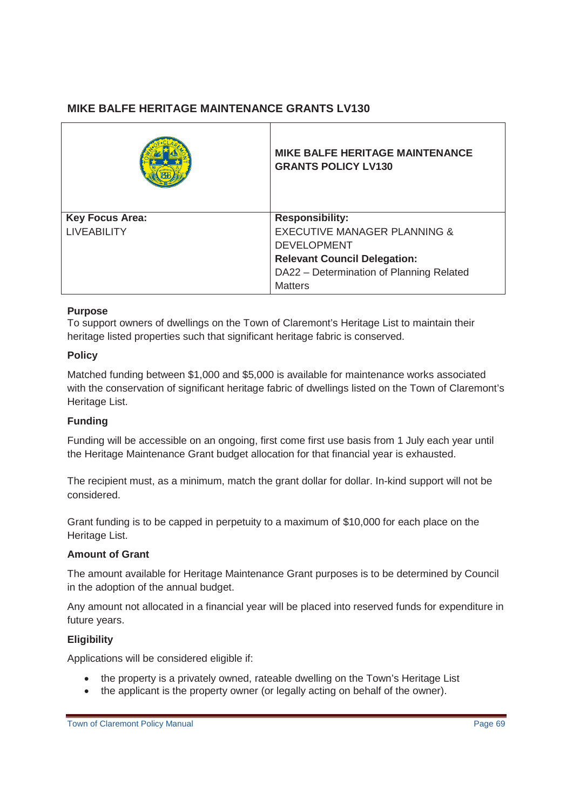# **MIKE BALFE HERITAGE MAINTENANCE GRANTS LV130**

|                        | <b>MIKE BALFE HERITAGE MAINTENANCE</b><br><b>GRANTS POLICY LV130</b> |
|------------------------|----------------------------------------------------------------------|
| <b>Key Focus Area:</b> | <b>Responsibility:</b>                                               |
| <b>LIVEABILITY</b>     | <b>EXECUTIVE MANAGER PLANNING &amp;</b>                              |
|                        | <b>DEVELOPMENT</b>                                                   |
|                        | <b>Relevant Council Delegation:</b>                                  |
|                        | DA22 - Determination of Planning Related                             |
|                        | <b>Matters</b>                                                       |

#### **Purpose**

To support owners of dwellings on the Town of Claremont's Heritage List to maintain their heritage listed properties such that significant heritage fabric is conserved.

#### **Policy**

Matched funding between \$1,000 and \$5,000 is available for maintenance works associated with the conservation of significant heritage fabric of dwellings listed on the Town of Claremont's Heritage List.

## **Funding**

Funding will be accessible on an ongoing, first come first use basis from 1 July each year until the Heritage Maintenance Grant budget allocation for that financial year is exhausted.

The recipient must, as a minimum, match the grant dollar for dollar. In-kind support will not be considered.

Grant funding is to be capped in perpetuity to a maximum of \$10,000 for each place on the Heritage List.

#### **Amount of Grant**

The amount available for Heritage Maintenance Grant purposes is to be determined by Council in the adoption of the annual budget.

Any amount not allocated in a financial year will be placed into reserved funds for expenditure in future years.

## **Eligibility**

Applications will be considered eligible if:

- the property is a privately owned, rateable dwelling on the Town's Heritage List
- the applicant is the property owner (or legally acting on behalf of the owner).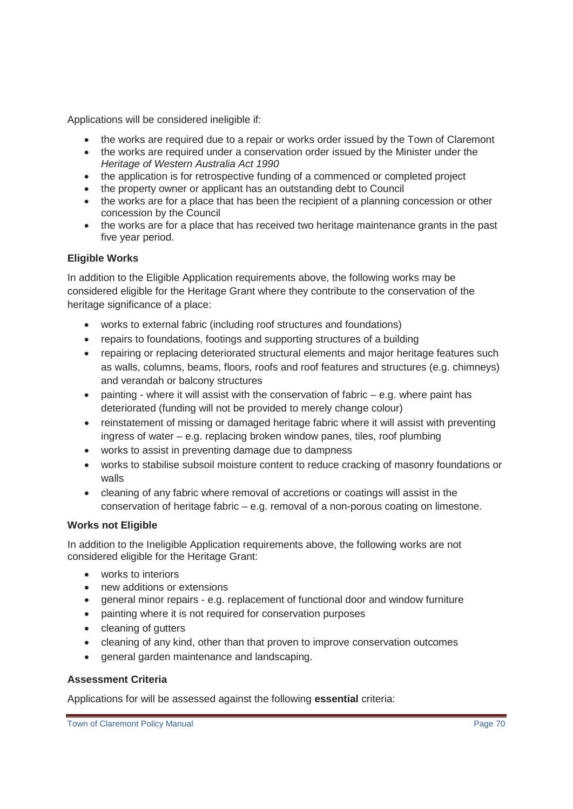Applications will be considered ineligible if:

- the works are required due to a repair or works order issued by the Town of Claremont
- the works are required under a conservation order issued by the Minister under the *Heritage of Western Australia Act 1990*
- the application is for retrospective funding of a commenced or completed project
- the property owner or applicant has an outstanding debt to Council
- the works are for a place that has been the recipient of a planning concession or other concession by the Council
- the works are for a place that has received two heritage maintenance grants in the past five year period.

# **Eligible Works**

In addition to the Eligible Application requirements above, the following works may be considered eligible for the Heritage Grant where they contribute to the conservation of the heritage significance of a place:

- works to external fabric (including roof structures and foundations)
- repairs to foundations, footings and supporting structures of a building
- repairing or replacing deteriorated structural elements and major heritage features such as walls, columns, beams, floors, roofs and roof features and structures (e.g. chimneys) and verandah or balcony structures
- painting where it will assist with the conservation of fabric  $-$  e.g. where paint has deteriorated (funding will not be provided to merely change colour)
- reinstatement of missing or damaged heritage fabric where it will assist with preventing ingress of water – e.g. replacing broken window panes, tiles, roof plumbing
- works to assist in preventing damage due to dampness
- works to stabilise subsoil moisture content to reduce cracking of masonry foundations or walls
- cleaning of any fabric where removal of accretions or coatings will assist in the conservation of heritage fabric – e.g. removal of a non-porous coating on limestone.

# **Works not Eligible**

In addition to the Ineligible Application requirements above, the following works are not considered eligible for the Heritage Grant:

- works to interiors
- new additions or extensions
- x general minor repairs e.g. replacement of functional door and window furniture
- painting where it is not required for conservation purposes
- cleaning of gutters
- cleaning of any kind, other than that proven to improve conservation outcomes
- general garden maintenance and landscaping.

## **Assessment Criteria**

Applications for will be assessed against the following **essential** criteria: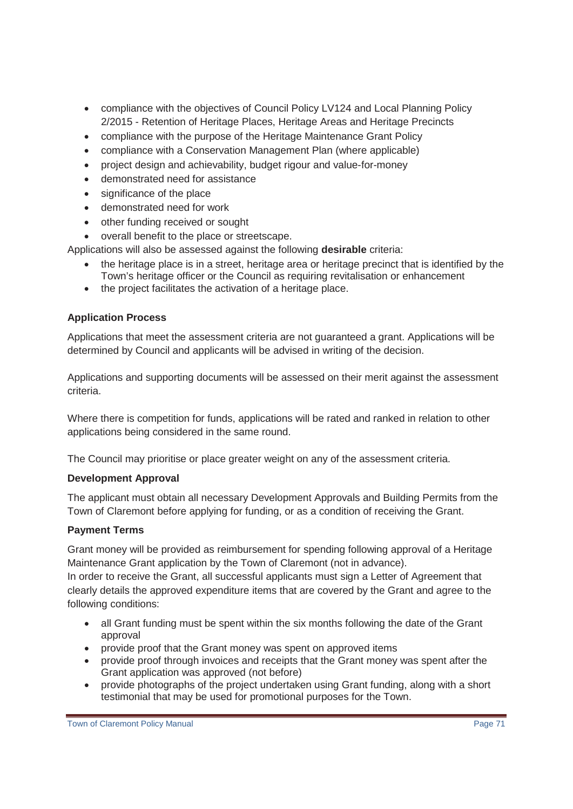- compliance with the objectives of Council Policy LV124 and Local Planning Policy 2/2015 - Retention of Heritage Places, Heritage Areas and Heritage Precincts
- compliance with the purpose of the Heritage Maintenance Grant Policy
- compliance with a Conservation Management Plan (where applicable)
- project design and achievability, budget rigour and value-for-money
- demonstrated need for assistance
- significance of the place
- demonstrated need for work
- other funding received or sought
- overall benefit to the place or streetscape.

Applications will also be assessed against the following **desirable** criteria:

- the heritage place is in a street, heritage area or heritage precinct that is identified by the Town's heritage officer or the Council as requiring revitalisation or enhancement
- the project facilitates the activation of a heritage place.

## **Application Process**

Applications that meet the assessment criteria are not guaranteed a grant. Applications will be determined by Council and applicants will be advised in writing of the decision.

Applications and supporting documents will be assessed on their merit against the assessment criteria.

Where there is competition for funds, applications will be rated and ranked in relation to other applications being considered in the same round.

The Council may prioritise or place greater weight on any of the assessment criteria.

## **Development Approval**

The applicant must obtain all necessary Development Approvals and Building Permits from the Town of Claremont before applying for funding, or as a condition of receiving the Grant.

## **Payment Terms**

Grant money will be provided as reimbursement for spending following approval of a Heritage Maintenance Grant application by the Town of Claremont (not in advance).

In order to receive the Grant, all successful applicants must sign a Letter of Agreement that clearly details the approved expenditure items that are covered by the Grant and agree to the following conditions:

- all Grant funding must be spent within the six months following the date of the Grant approval
- provide proof that the Grant money was spent on approved items
- provide proof through invoices and receipts that the Grant money was spent after the Grant application was approved (not before)
- provide photographs of the project undertaken using Grant funding, along with a short testimonial that may be used for promotional purposes for the Town.